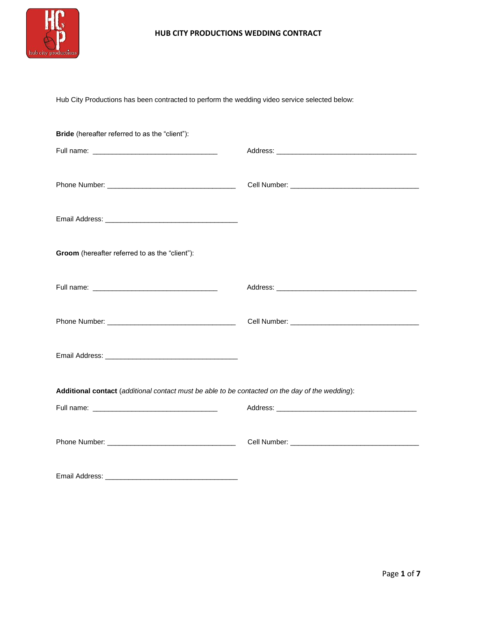

Hub City Productions has been contracted to perform the wedding video service selected below:

| <b>Bride</b> (hereafter referred to as the "client"):                                           |  |
|-------------------------------------------------------------------------------------------------|--|
|                                                                                                 |  |
|                                                                                                 |  |
|                                                                                                 |  |
| Groom (hereafter referred to as the "client"):                                                  |  |
|                                                                                                 |  |
|                                                                                                 |  |
|                                                                                                 |  |
| Additional contact (additional contact must be able to be contacted on the day of the wedding): |  |
|                                                                                                 |  |
|                                                                                                 |  |
|                                                                                                 |  |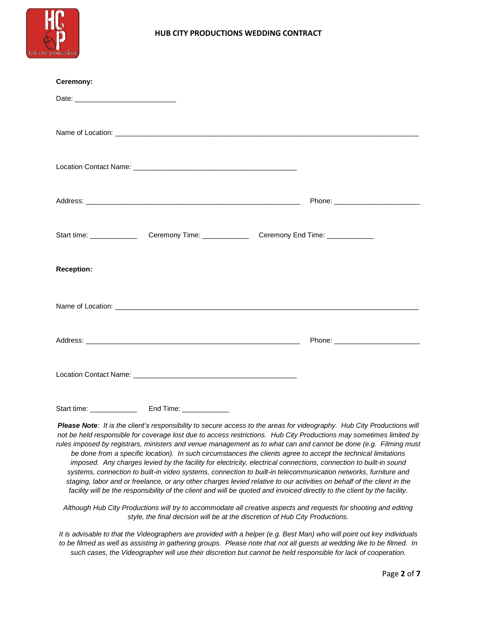

| Ceremony:         |  |  |
|-------------------|--|--|
|                   |  |  |
|                   |  |  |
|                   |  |  |
|                   |  |  |
|                   |  |  |
|                   |  |  |
|                   |  |  |
|                   |  |  |
|                   |  |  |
| <b>Reception:</b> |  |  |
|                   |  |  |
|                   |  |  |
|                   |  |  |
|                   |  |  |
|                   |  |  |
|                   |  |  |
|                   |  |  |
|                   |  |  |

*Please Note: It is the client's responsibility to secure access to the areas for videography. Hub City Productions will not be held responsible for coverage lost due to access restrictions. Hub City Productions may sometimes limited by rules imposed by registrars, ministers and venue management as to what can and cannot be done (e.g. Filming must be done from a specific location). In such circumstances the clients agree to accept the technical limitations imposed. Any charges levied by the facility for electricity, electrical connections, connection to built-in sound systems, connection to built-in video systems, connection to built-in telecommunication networks, furniture and staging, labor and or freelance, or any other charges levied relative to our activities on behalf of the client in the facility will be the responsibility of the client and will be quoted and invoiced directly to the client by the facility.*

*Although Hub City Productions will try to accommodate all creative aspects and requests for shooting and editing style, the final decision will be at the discretion of Hub City Productions.*

*It is advisable to that the Videographers are provided with a helper (e.g. Best Man) who will point out key individuals to be filmed as well as assisting in gathering groups. Please note that not all guests at wedding like to be filmed. In such cases, the Videographer will use their discretion but cannot be held responsible for lack of cooperation.*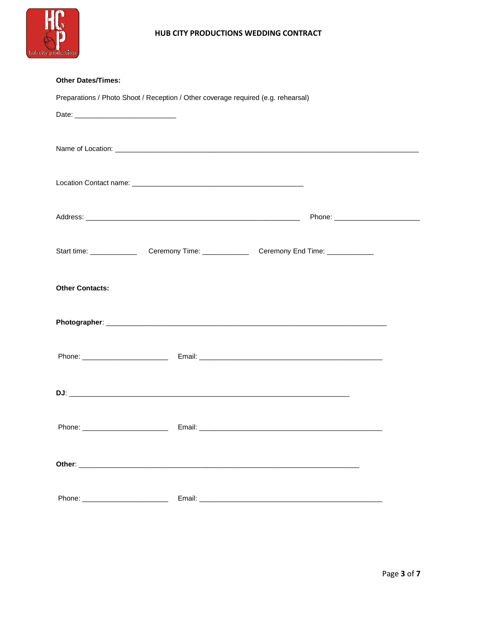

| <b>Other Dates/Times:</b>                                                         |  |  |  |  |
|-----------------------------------------------------------------------------------|--|--|--|--|
| Preparations / Photo Shoot / Reception / Other coverage required (e.g. rehearsal) |  |  |  |  |
|                                                                                   |  |  |  |  |
|                                                                                   |  |  |  |  |
|                                                                                   |  |  |  |  |
|                                                                                   |  |  |  |  |
|                                                                                   |  |  |  |  |
|                                                                                   |  |  |  |  |
|                                                                                   |  |  |  |  |
|                                                                                   |  |  |  |  |
|                                                                                   |  |  |  |  |
|                                                                                   |  |  |  |  |
|                                                                                   |  |  |  |  |
| <b>Other Contacts:</b>                                                            |  |  |  |  |
|                                                                                   |  |  |  |  |
|                                                                                   |  |  |  |  |
|                                                                                   |  |  |  |  |
|                                                                                   |  |  |  |  |
|                                                                                   |  |  |  |  |
|                                                                                   |  |  |  |  |
|                                                                                   |  |  |  |  |
| Phone: ___________________________                                                |  |  |  |  |
|                                                                                   |  |  |  |  |
|                                                                                   |  |  |  |  |
|                                                                                   |  |  |  |  |
|                                                                                   |  |  |  |  |
|                                                                                   |  |  |  |  |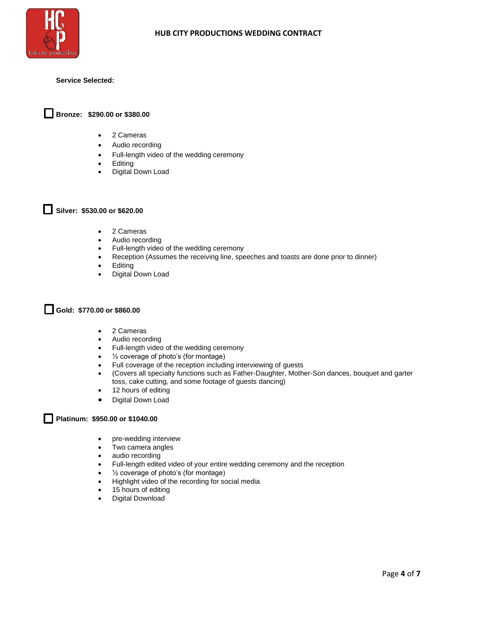

#### **Service Selected:**

## **Bronze: \$290.00 or \$380.00**

- 2 Cameras
- Audio recording
- Full-length video of the wedding ceremony
- Editing
- Digital Down Load

**Silver: \$530.00 or \$620.00**

- 2 Cameras
- Audio recording
- Full-length video of the wedding ceremony
- Reception (Assumes the receiving line, speeches and toasts are done prior to dinner)
- Editing
- Digital Down Load

# **Gold: \$770.00 or \$860.00**

- 2 Cameras
- Audio recording
- Full-length video of the wedding ceremony
- ½ coverage of photo's (for montage)
- Full coverage of the reception including interviewing of guests
- (Covers all specialty functions such as Father-Daughter, Mother-Son dances, bouquet and garter toss, cake cutting, and some footage of guests dancing)
- 12 hours of editing
- Digital Down Load

#### **Platinum: \$950.00 or \$1040.00** l 1

- pre-wedding interview
- Two camera angles
- audio recording
- Full-length edited video of your entire wedding ceremony and the reception
- 1/2 coverage of photo's (for montage)
- Highlight video of the recording for social media
- 15 hours of editing
- Digital Download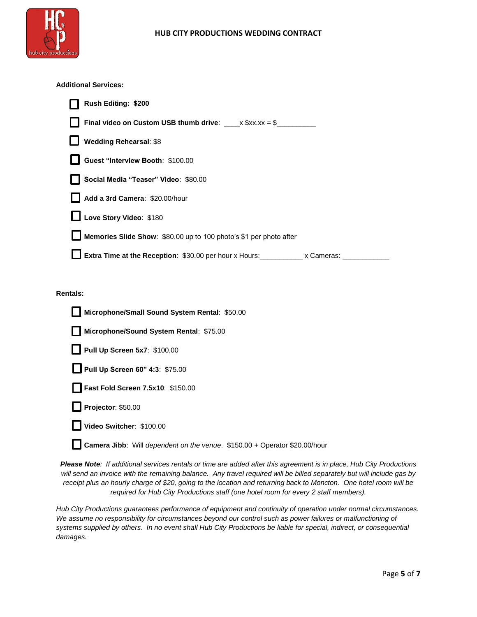

## **Additional Services:**

| <b>Rush Editing: \$200</b>                                                                                                                                                                                                                                                                                   |
|--------------------------------------------------------------------------------------------------------------------------------------------------------------------------------------------------------------------------------------------------------------------------------------------------------------|
| Final video on Custom USB thumb drive: $x \text{ }$ $\frac{1}{2}$ $x \text{ }$ $\frac{1}{2}$ $\frac{1}{2}$ $\frac{1}{2}$ $\frac{1}{2}$ $\frac{1}{2}$ $\frac{1}{2}$ $\frac{1}{2}$ $\frac{1}{2}$ $\frac{1}{2}$ $\frac{1}{2}$ $\frac{1}{2}$ $\frac{1}{2}$ $\frac{1}{2}$ $\frac{1}{2}$ $\frac{1}{2}$ $\frac{1}{$ |
| <b>Wedding Rehearsal: \$8</b>                                                                                                                                                                                                                                                                                |
| Guest "Interview Booth: \$100.00                                                                                                                                                                                                                                                                             |
| Social Media "Teaser" Video: \$80.00                                                                                                                                                                                                                                                                         |
| Add a 3rd Camera: \$20.00/hour                                                                                                                                                                                                                                                                               |
| Love Story Video: \$180                                                                                                                                                                                                                                                                                      |
| Memories Slide Show: \$80.00 up to 100 photo's \$1 per photo after                                                                                                                                                                                                                                           |
| <b>L</b> Extra Time at the Reception: \$30.00 per hour x Hours: x Cameras:                                                                                                                                                                                                                                   |

#### **Rentals:**

| Microphone/Small Sound System Rental: \$50.00                                     |
|-----------------------------------------------------------------------------------|
| Microphone/Sound System Rental: \$75.00                                           |
| Pull Up Screen 5x7: \$100.00                                                      |
| Pull Up Screen 60" 4:3: \$75.00                                                   |
| Fast Fold Screen 7.5x10: \$150.00                                                 |
| Projector: \$50.00                                                                |
| Video Switcher: \$100.00                                                          |
| <b>Camera Jibb:</b> Will dependent on the venue. \$150.00 + Operator \$20.00/hour |

*Please Note: If additional services rentals or time are added after this agreement is in place, Hub City Productions will send an invoice with the remaining balance. Any travel required will be billed separately but will include gas by receipt plus an hourly charge of \$20, going to the location and returning back to Moncton. One hotel room will be required for Hub City Productions staff (one hotel room for every 2 staff members).*

*Hub City Productions guarantees performance of equipment and continuity of operation under normal circumstances. We assume no responsibility for circumstances beyond our control such as power failures or malfunctioning of systems supplied by others. In no event shall Hub City Productions be liable for special, indirect, or consequential damages.*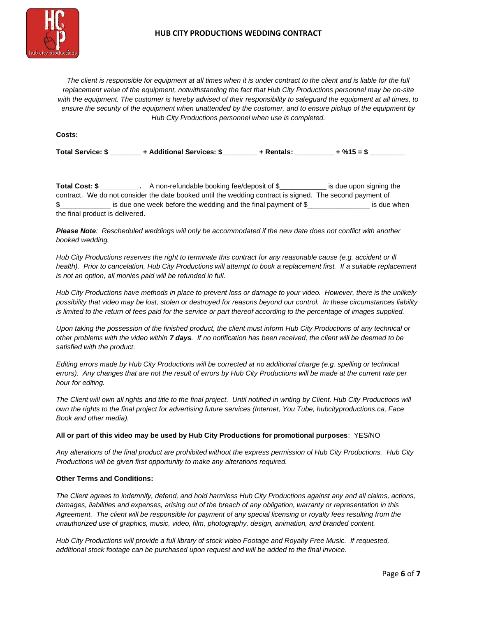

*The client is responsible for equipment at all times when it is under contract to the client and is liable for the full replacement value of the equipment, notwithstanding the fact that Hub City Productions personnel may be on-site with the equipment. The customer is hereby advised of their responsibility to safeguard the equipment at all times, to ensure the security of the equipment when unattended by the customer, and to ensure pickup of the equipment by Hub City Productions personnel when use is completed.*

**Costs:**

| <b>Total Service: \$</b> | + Additional Services: \$ |  | + Rentals: | $+$ %15 = \$ |
|--------------------------|---------------------------|--|------------|--------------|
|--------------------------|---------------------------|--|------------|--------------|

**Total Cost:** \$ \_\_\_\_\_\_\_\_\_\_. A non-refundable booking fee/deposit of \$ \_\_\_\_\_\_\_\_\_\_ is due upon signing the contract. We do not consider the date booked until the wedding contract is signed. The second payment of \$\_\_\_\_\_\_\_\_\_\_\_\_\_\_\_\_ is due one week before the wedding and the final payment of \$\_\_\_\_\_\_\_\_\_\_\_\_\_\_\_\_\_\_\_\_ is due when the final product is delivered.

*Please Note: Rescheduled weddings will only be accommodated if the new date does not conflict with another booked wedding.*

*Hub City Productions reserves the right to terminate this contract for any reasonable cause (e.g. accident or ill*  health). Prior to cancelation, Hub City Productions will attempt to book a replacement first. If a suitable replacement *is not an option, all monies paid will be refunded in full.*

*Hub City Productions have methods in place to prevent loss or damage to your video. However, there is the unlikely possibility that video may be lost, stolen or destroyed for reasons beyond our control. In these circumstances liability is limited to the return of fees paid for the service or part thereof according to the percentage of images supplied.* 

*Upon taking the possession of the finished product, the client must inform Hub City Productions of any technical or other problems with the video within 7 days. If no notification has been received, the client will be deemed to be satisfied with the product.*

*Editing errors made by Hub City Productions will be corrected at no additional charge (e.g. spelling or technical errors). Any changes that are not the result of errors by Hub City Productions will be made at the current rate per hour for editing.*

*The Client will own all rights and title to the final project. Until notified in writing by Client, Hub City Productions will own the rights to the final project for advertising future services (Internet, You Tube, hubcityproductions.ca, Face Book and other media).*

### **All or part of this video may be used by Hub City Productions for promotional purposes**: YES/NO

*Any alterations of the final product are prohibited without the express permission of Hub City Productions. Hub City Productions will be given first opportunity to make any alterations required.* 

### **Other Terms and Conditions:**

*The Client agrees to indemnify, defend, and hold harmless Hub City Productions against any and all claims, actions, damages, liabilities and expenses, arising out of the breach of any obligation, warranty or representation in this Agreement. The client will be responsible for payment of any special licensing or royalty fees resulting from the unauthorized use of graphics, music, video, film, photography, design, animation, and branded content.* 

*Hub City Productions will provide a full library of stock video Footage and Royalty Free Music. If requested, additional stock footage can be purchased upon request and will be added to the final invoice.*